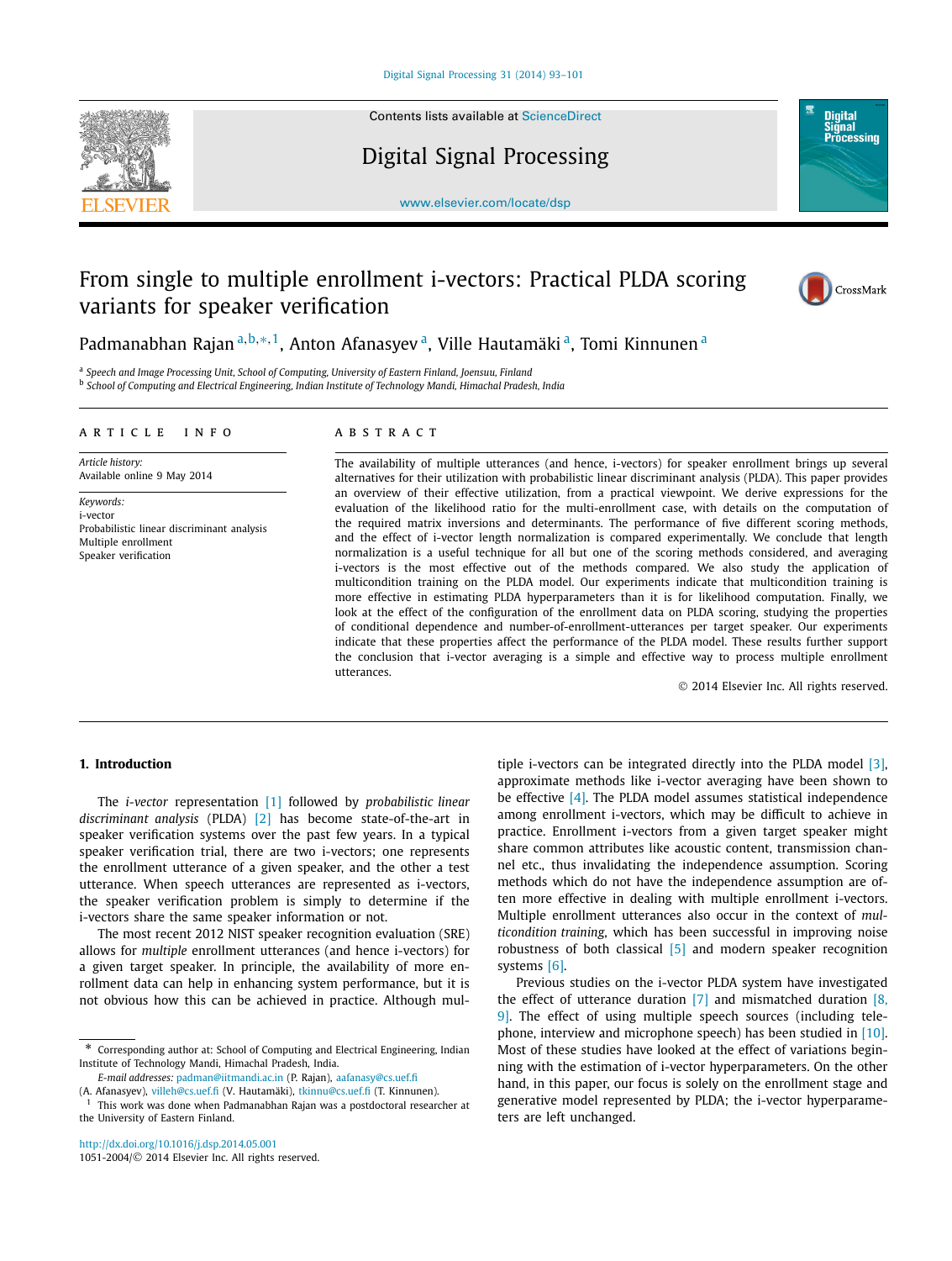

Contents lists available at [ScienceDirect](http://www.ScienceDirect.com/)

# Digital Signal Processing



[www.elsevier.com/locate/dsp](http://www.elsevier.com/locate/dsp)

# From single to multiple enrollment i-vectors: Practical PLDA scoring variants for speaker verification



Padmanabhan Rajan<sup>a,b,∗,1</sup>, Anton Afanasyev<sup>a</sup>, Ville Hautamäki<sup>a</sup>, Tomi Kinnunen<sup>a</sup>

<sup>a</sup> *Speech and Image Processing Unit, School of Computing, University of Eastern Finland, Joensuu, Finland*

<sup>b</sup> *School of Computing and Electrical Engineering, Indian Institute of Technology Mandi, Himachal Pradesh, India*

#### article info abstract

*Article history:* Available online 9 May 2014

*Keywords:* i-vector Probabilistic linear discriminant analysis Multiple enrollment Speaker verification

The availability of multiple utterances (and hence, i-vectors) for speaker enrollment brings up several alternatives for their utilization with probabilistic linear discriminant analysis (PLDA). This paper provides an overview of their effective utilization, from a practical viewpoint. We derive expressions for the evaluation of the likelihood ratio for the multi-enrollment case, with details on the computation of the required matrix inversions and determinants. The performance of five different scoring methods, and the effect of i-vector length normalization is compared experimentally. We conclude that length normalization is a useful technique for all but one of the scoring methods considered, and averaging i-vectors is the most effective out of the methods compared. We also study the application of multicondition training on the PLDA model. Our experiments indicate that multicondition training is more effective in estimating PLDA hyperparameters than it is for likelihood computation. Finally, we look at the effect of the configuration of the enrollment data on PLDA scoring, studying the properties of conditional dependence and number-of-enrollment-utterances per target speaker. Our experiments indicate that these properties affect the performance of the PLDA model. These results further support the conclusion that i-vector averaging is a simple and effective way to process multiple enrollment utterances.

© 2014 Elsevier Inc. All rights reserved.

# **1. Introduction**

The *i-vector* representation [\[1\]](#page-7-0) followed by *probabilistic linear discriminant analysis* (PLDA) [\[2\]](#page-7-0) has become state-of-the-art in speaker verification systems over the past few years. In a typical speaker verification trial, there are two i-vectors; one represents the enrollment utterance of a given speaker, and the other a test utterance. When speech utterances are represented as i-vectors, the speaker verification problem is simply to determine if the i-vectors share the same speaker information or not.

The most recent 2012 NIST speaker recognition evaluation (SRE) allows for *multiple* enrollment utterances (and hence i-vectors) for a given target speaker. In principle, the availability of more enrollment data can help in enhancing system performance, but it is not obvious how this can be achieved in practice. Although mul-

*E-mail addresses:* [padman@iitmandi.ac.in](mailto:padman@iitmandi.ac.in) (P. Rajan), [aafanasy@cs.uef.fi](mailto:aafanasy@cs.uef.fi) (A. Afanasyev), [villeh@cs.uef.fi](mailto:villeh@cs.uef.fi) (V. Hautamäki), [tkinnu@cs.uef.fi](mailto:tkinnu@cs.uef.fi) (T. Kinnunen). tiple i-vectors can be integrated directly into the PLDA model [\[3\],](#page-7-0) approximate methods like i-vector averaging have been shown to be effective [\[4\].](#page-7-0) The PLDA model assumes statistical independence among enrollment i-vectors, which may be difficult to achieve in practice. Enrollment i-vectors from a given target speaker might share common attributes like acoustic content, transmission channel etc., thus invalidating the independence assumption. Scoring methods which do not have the independence assumption are often more effective in dealing with multiple enrollment i-vectors. Multiple enrollment utterances also occur in the context of *multicondition training*, which has been successful in improving noise robustness of both classical [\[5\]](#page-7-0) and modern speaker recognition systems [\[6\].](#page-7-0)

Previous studies on the i-vector PLDA system have investigated the effect of utterance duration  $[7]$  and mismatched duration  $[8]$ , [9\].](#page-7-0) The effect of using multiple speech sources (including telephone, interview and microphone speech) has been studied in [\[10\].](#page-7-0) Most of these studies have looked at the effect of variations beginning with the estimation of i-vector hyperparameters. On the other hand, in this paper, our focus is solely on the enrollment stage and generative model represented by PLDA; the i-vector hyperparameters are left unchanged.

<sup>\*</sup> Corresponding author at: School of Computing and Electrical Engineering, Indian Institute of Technology Mandi, Himachal Pradesh, India.

 $1$  This work was done when Padmanabhan Rajan was a postdoctoral researcher at the University of Eastern Finland.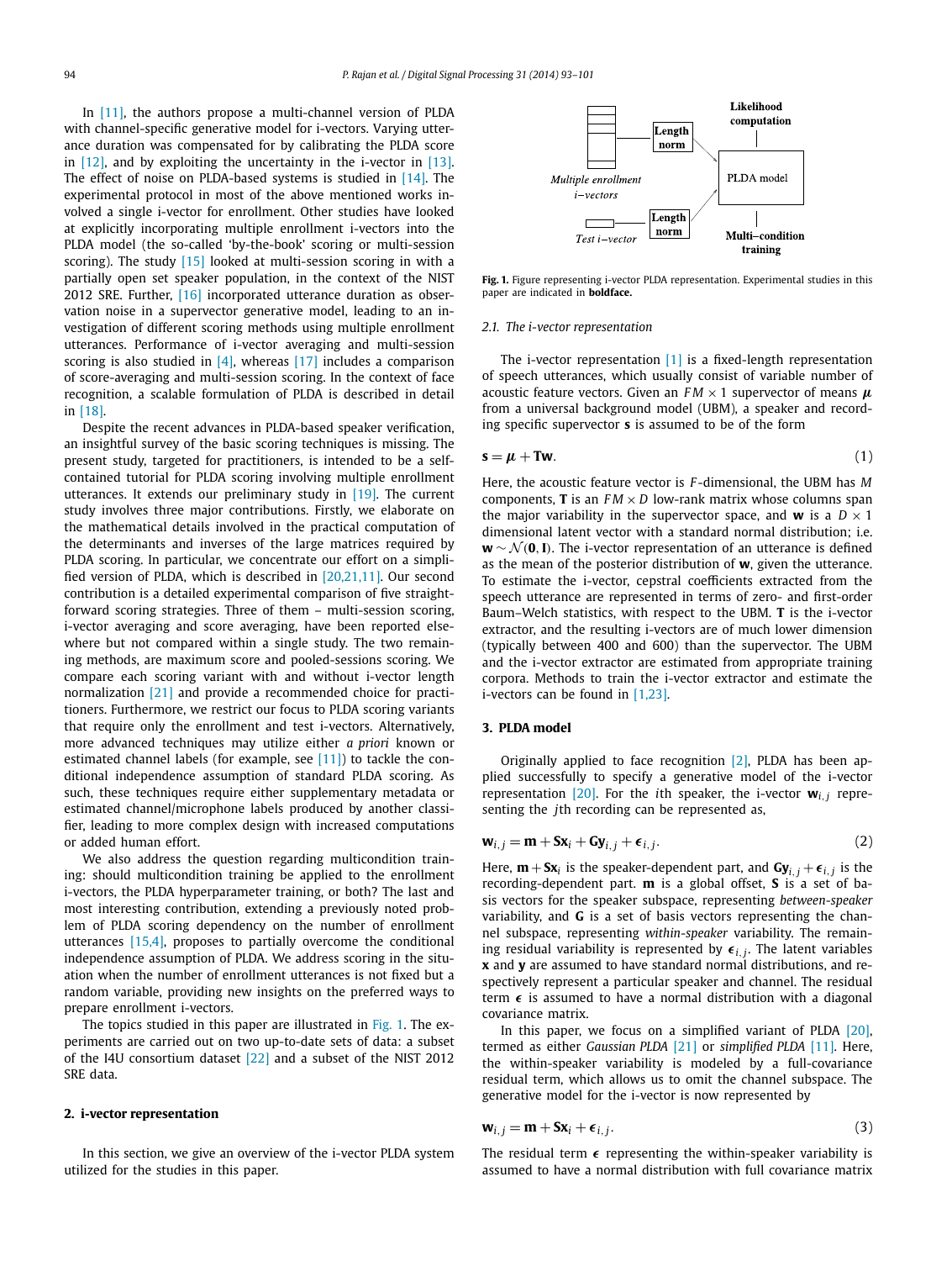<span id="page-1-0"></span>In [\[11\],](#page-7-0) the authors propose a multi-channel version of PLDA with channel-specific generative model for i-vectors. Varying utterance duration was compensated for by calibrating the PLDA score in [\[12\],](#page-7-0) and by exploiting the uncertainty in the i-vector in [\[13\].](#page-7-0) The effect of noise on PLDA-based systems is studied in [\[14\].](#page-7-0) The experimental protocol in most of the above mentioned works involved a single i-vector for enrollment. Other studies have looked at explicitly incorporating multiple enrollment i-vectors into the PLDA model (the so-called 'by-the-book' scoring or multi-session scoring). The study [\[15\]](#page-7-0) looked at multi-session scoring in with a partially open set speaker population, in the context of the NIST 2012 SRE. Further, [\[16\]](#page-7-0) incorporated utterance duration as observation noise in a supervector generative model, leading to an investigation of different scoring methods using multiple enrollment utterances. Performance of i-vector averaging and multi-session scoring is also studied in  $[4]$ , whereas  $[17]$  includes a comparison of score-averaging and multi-session scoring. In the context of face recognition, a scalable formulation of PLDA is described in detail in [\[18\].](#page-7-0)

Despite the recent advances in PLDA-based speaker verification, an insightful survey of the basic scoring techniques is missing. The present study, targeted for practitioners, is intended to be a selfcontained tutorial for PLDA scoring involving multiple enrollment utterances. It extends our preliminary study in [\[19\].](#page-7-0) The current study involves three major contributions. Firstly, we elaborate on the mathematical details involved in the practical computation of the determinants and inverses of the large matrices required by PLDA scoring. In particular, we concentrate our effort on a simplified version of PLDA, which is described in [\[20,21,11\].](#page-7-0) Our second contribution is a detailed experimental comparison of five straightforward scoring strategies. Three of them – multi-session scoring, i-vector averaging and score averaging, have been reported elsewhere but not compared within a single study. The two remaining methods, are maximum score and pooled-sessions scoring. We compare each scoring variant with and without i-vector length normalization [\[21\]](#page-8-0) and provide a recommended choice for practitioners. Furthermore, we restrict our focus to PLDA scoring variants that require only the enrollment and test i-vectors. Alternatively, more advanced techniques may utilize either *a priori* known or estimated channel labels (for example, see [\[11\]\)](#page-7-0) to tackle the conditional independence assumption of standard PLDA scoring. As such, these techniques require either supplementary metadata or estimated channel/microphone labels produced by another classifier, leading to more complex design with increased computations or added human effort.

We also address the question regarding multicondition training: should multicondition training be applied to the enrollment i-vectors, the PLDA hyperparameter training, or both? The last and most interesting contribution, extending a previously noted problem of PLDA scoring dependency on the number of enrollment utterances [\[15,4\],](#page-7-0) proposes to partially overcome the conditional independence assumption of PLDA. We address scoring in the situation when the number of enrollment utterances is not fixed but a random variable, providing new insights on the preferred ways to prepare enrollment i-vectors.

The topics studied in this paper are illustrated in Fig. 1. The experiments are carried out on two up-to-date sets of data: a subset of the I4U consortium dataset [\[22\]](#page-8-0) and a subset of the NIST 2012 SRE data.

## **2. i-vector representation**

In this section, we give an overview of the i-vector PLDA system utilized for the studies in this paper.



**Fig. 1.** Figure representing i-vector PLDA representation. Experimental studies in this paper are indicated in **boldface.**

### *2.1. The i-vector representation*

The i-vector representation  $[1]$  is a fixed-length representation of speech utterances, which usually consist of variable number of acoustic feature vectors. Given an *F M* × 1 supervector of means *μ* from a universal background model (UBM), a speaker and recording specific supervector **s** is assumed to be of the form

$$
\mathbf{s} = \boldsymbol{\mu} + \mathbf{Tw}.\tag{1}
$$

Here, the acoustic feature vector is *F* -dimensional, the UBM has *M* components, **T** is an  $FM \times D$  low-rank matrix whose columns span the major variability in the supervector space, and **w** is a  $D \times 1$ dimensional latent vector with a standard normal distribution; i.e. **w** ∼ N(0, I). The i-vector representation of an utterance is defined as the mean of the posterior distribution of **w**, given the utterance. To estimate the i-vector, cepstral coefficients extracted from the speech utterance are represented in terms of zero- and first-order Baum–Welch statistics, with respect to the UBM. **T** is the i-vector extractor, and the resulting i-vectors are of much lower dimension (typically between 400 and 600) than the supervector. The UBM and the i-vector extractor are estimated from appropriate training corpora. Methods to train the i-vector extractor and estimate the i-vectors can be found in  $[1,23]$ .

#### **3. PLDA model**

Originally applied to face recognition [\[2\],](#page-7-0) PLDA has been applied successfully to specify a generative model of the i-vector representation  $[20]$ . For the *i*th speaker, the *i*-vector  $\mathbf{w}_{i,j}$  representing the *j*th recording can be represented as,

$$
\mathbf{w}_{i,j} = \mathbf{m} + \mathbf{S}\mathbf{x}_i + \mathbf{G}\mathbf{y}_{i,j} + \boldsymbol{\epsilon}_{i,j}.
$$
 (2)

Here,  $\mathbf{m} + \mathbf{S} \mathbf{x}_i$  is the speaker-dependent part, and  $\mathbf{G} \mathbf{y}_{i,j} + \boldsymbol{\epsilon}_{i,j}$  is the recording-dependent part. **m** is a global offset, **S** is a set of basis vectors for the speaker subspace, representing *between-speaker* variability, and **G** is a set of basis vectors representing the channel subspace, representing *within-speaker* variability. The remaining residual variability is represented by  $\epsilon_{i,j}$ . The latent variables **x** and **y** are assumed to have standard normal distributions, and respectively represent a particular speaker and channel. The residual term  $\epsilon$  is assumed to have a normal distribution with a diagonal covariance matrix.

In this paper, we focus on a simplified variant of PLDA [\[20\],](#page-7-0) termed as either *Gaussian PLDA* [\[21\]](#page-8-0) or *simplified PLDA* [\[11\].](#page-7-0) Here, the within-speaker variability is modeled by a full-covariance residual term, which allows us to omit the channel subspace. The generative model for the i-vector is now represented by

$$
\mathbf{w}_{i,j} = \mathbf{m} + \mathbf{S}\mathbf{x}_i + \boldsymbol{\epsilon}_{i,j}.
$$
 (3)

The residual term  $\epsilon$  representing the within-speaker variability is assumed to have a normal distribution with full covariance matrix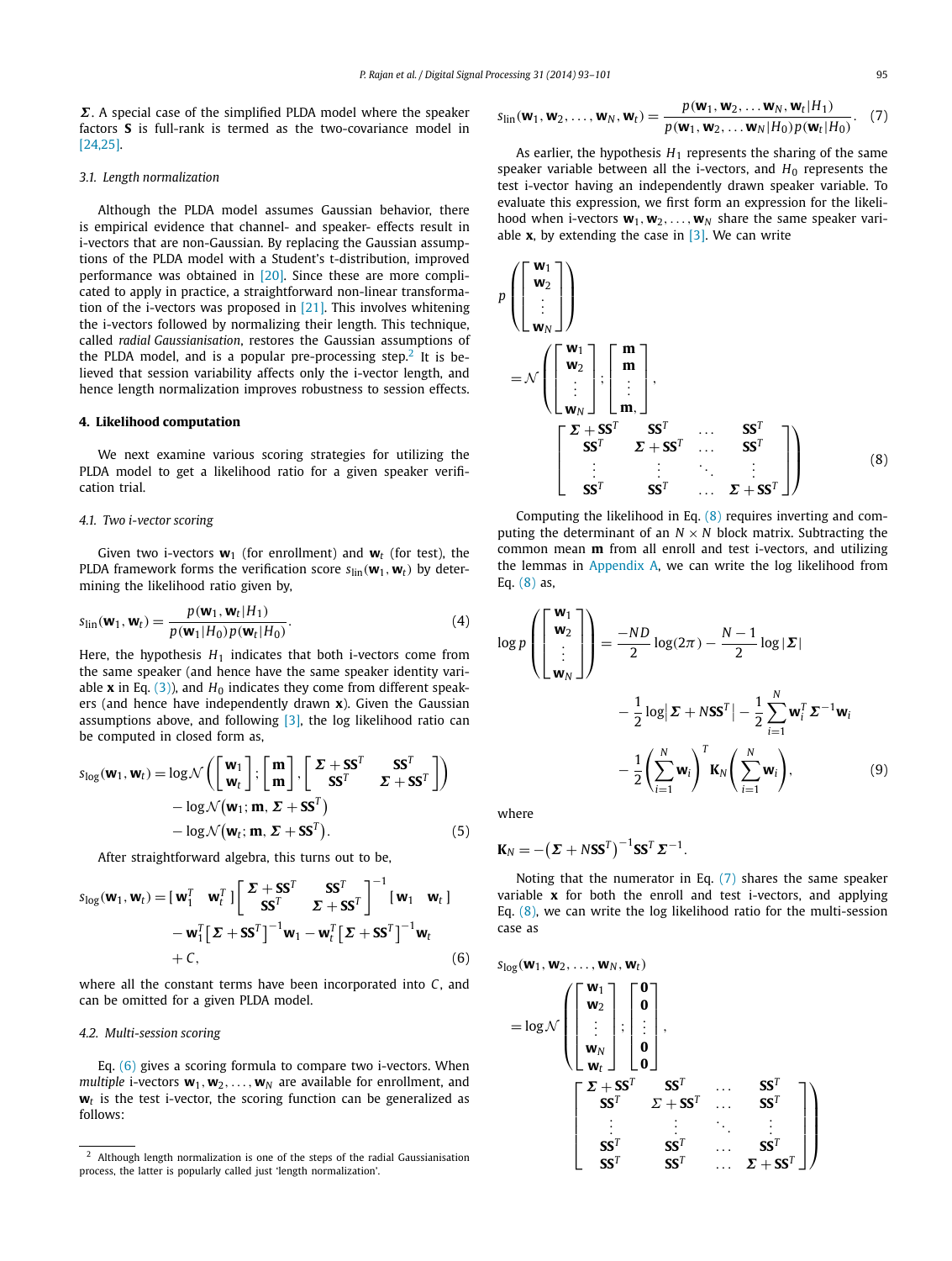<span id="page-2-0"></span>*Σ*. A special case of the simplified PLDA model where the speaker factors **S** is full-rank is termed as the two-covariance model in [\[24,25\].](#page-8-0)

# *3.1. Length normalization*

Although the PLDA model assumes Gaussian behavior, there is empirical evidence that channel- and speaker- effects result in i-vectors that are non-Gaussian. By replacing the Gaussian assumptions of the PLDA model with a Student's t-distribution, improved performance was obtained in  $[20]$ . Since these are more complicated to apply in practice, a straightforward non-linear transformation of the i-vectors was proposed in [\[21\].](#page-8-0) This involves whitening the i-vectors followed by normalizing their length. This technique, called *radial Gaussianisation*, restores the Gaussian assumptions of the PLDA model, and is a popular pre-processing step.<sup>2</sup> It is believed that session variability affects only the i-vector length, and hence length normalization improves robustness to session effects.

# **4. Likelihood computation**

We next examine various scoring strategies for utilizing the PLDA model to get a likelihood ratio for a given speaker verification trial.

# *4.1. Two i-vector scoring*

Given two i-vectors  $w_1$  (for enrollment) and  $w_t$  (for test), the PLDA framework forms the verification score  $s_{lin}(\mathbf{w}_1, \mathbf{w}_t)$  by determining the likelihood ratio given by,

$$
s_{\text{lin}}(\mathbf{w}_1, \mathbf{w}_t) = \frac{p(\mathbf{w}_1, \mathbf{w}_t | H_1)}{p(\mathbf{w}_1 | H_0) p(\mathbf{w}_t | H_0)}.
$$
(4)

Here, the hypothesis *H*<sup>1</sup> indicates that both i-vectors come from the same speaker (and hence have the same speaker identity variable **x** in Eq. [\(3\)\)](#page-1-0), and  $H_0$  indicates they come from different speakers (and hence have independently drawn **x**). Given the Gaussian assumptions above, and following  $[3]$ , the log likelihood ratio can be computed in closed form as,

$$
s_{\log}(\mathbf{w}_1, \mathbf{w}_t) = \log \mathcal{N}\left(\begin{bmatrix} \mathbf{w}_1 \\ \mathbf{w}_t \end{bmatrix}; \begin{bmatrix} \mathbf{m} \\ \mathbf{m} \end{bmatrix}, \begin{bmatrix} \Sigma + \mathbf{S}\mathbf{S}^T & \mathbf{S}\mathbf{S}^T \\ \mathbf{S}\mathbf{S}^T & \Sigma + \mathbf{S}\mathbf{S}^T \end{bmatrix}\right) - \log \mathcal{N}(\mathbf{w}_1; \mathbf{m}, \Sigma + \mathbf{S}\mathbf{S}^T) - \log \mathcal{N}(\mathbf{w}_t; \mathbf{m}, \Sigma + \mathbf{S}\mathbf{S}^T).
$$
 (5)

After straightforward algebra, this turns out to be,

$$
s_{\log}(\mathbf{w}_1, \mathbf{w}_t) = [\mathbf{w}_1^T \mathbf{w}_t^T] \begin{bmatrix} \Sigma + \mathbf{S} \mathbf{S}^T & \mathbf{S} \mathbf{S}^T \\ \mathbf{S} \mathbf{S}^T & \Sigma + \mathbf{S} \mathbf{S}^T \end{bmatrix}^{-1} [\mathbf{w}_1 \mathbf{w}_t] - \mathbf{w}_1^T [\Sigma + \mathbf{S} \mathbf{S}^T]^{-1} \mathbf{w}_1 - \mathbf{w}_t^T [\Sigma + \mathbf{S} \mathbf{S}^T]^{-1} \mathbf{w}_t + C,
$$
\n(6)

where all the constant terms have been incorporated into *C*, and can be omitted for a given PLDA model.

# *4.2. Multi-session scoring*

Eq. (6) gives a scoring formula to compare two i-vectors. When *multiple* i-vectors  $w_1, w_2, \ldots, w_N$  are available for enrollment, and  **is the test i-vector, the scoring function can be generalized as** follows:

$$
s_{\text{lin}}(\mathbf{w}_1, \mathbf{w}_2, \dots, \mathbf{w}_N, \mathbf{w}_t) = \frac{p(\mathbf{w}_1, \mathbf{w}_2, \dots, \mathbf{w}_N, \mathbf{w}_t | H_1)}{p(\mathbf{w}_1, \mathbf{w}_2, \dots, \mathbf{w}_N | H_0) p(\mathbf{w}_t | H_0)}.
$$
 (7)

As earlier, the hypothesis  $H_1$  represents the sharing of the same speaker variable between all the *i*-vectors, and  $H_0$  represents the test i-vector having an independently drawn speaker variable. To evaluate this expression, we first form an expression for the likelihood when i-vectors  $w_1$ ,  $w_2$ , ...,  $w_N$  share the same speaker variable  $x$ , by extending the case in  $\left[3\right]$ . We can write

$$
p\left(\begin{bmatrix} \mathbf{w}_1 \\ \mathbf{w}_2 \\ \vdots \\ \mathbf{w}_N \end{bmatrix}\right)
$$
  
=  $\mathcal{N}\left(\begin{bmatrix} \mathbf{w}_1 \\ \mathbf{w}_2 \\ \vdots \\ \mathbf{w}_N \end{bmatrix}; \begin{bmatrix} \mathbf{m} \\ \mathbf{m} \\ \vdots \\ \mathbf{m} \end{bmatrix}, \begin{bmatrix} \mathbf{m} \\ \mathbf{m} \\ \vdots \\ \mathbf{m} \end{bmatrix}, \begin{bmatrix} \mathbf{S}^T & \mathbf{S}^T & \mathbf{S}^T \\ \mathbf{S}^T & \mathbf{S}^T & \cdots & \mathbf{S}^T \\ \vdots & \vdots & \ddots & \vdots \\ \mathbf{S}^T & \mathbf{S}^T & \cdots & \mathbf{S}^T \end{bmatrix}\right)$ (8)

Computing the likelihood in Eq. (8) requires inverting and computing the determinant of an  $N \times N$  block matrix. Subtracting the common mean **m** from all enroll and test i-vectors, and utilizing the lemmas in [Appendix A,](#page-6-0) we can write the log likelihood from Eq. (8) as,

$$
\log p\left(\begin{bmatrix} \mathbf{w}_1 \\ \mathbf{w}_2 \\ \vdots \\ \mathbf{w}_N \end{bmatrix}\right) = \frac{-ND}{2} \log(2\pi) - \frac{N-1}{2} \log |\mathbf{\Sigma}|
$$

$$
-\frac{1}{2} \log |\mathbf{\Sigma} + N\mathbf{S}\mathbf{S}^T| - \frac{1}{2} \sum_{i=1}^N \mathbf{w}_i^T \mathbf{\Sigma}^{-1} \mathbf{w}_i
$$

$$
-\frac{1}{2} \left(\sum_{i=1}^N \mathbf{w}_i\right)^T \mathbf{K}_N \left(\sum_{i=1}^N \mathbf{w}_i\right), \tag{9}
$$

where

$$
\mathbf{K}_N = -(\boldsymbol{\Sigma} + N\mathbf{S}\mathbf{S}^T)^{-1}\mathbf{S}\mathbf{S}^T\boldsymbol{\Sigma}^{-1}.
$$

Noting that the numerator in Eq. (7) shares the same speaker variable **x** for both the enroll and test i-vectors, and applying Eq. (8), we can write the log likelihood ratio for the multi-session case as

$$
S_{\text{log}}(\mathbf{w}_1, \mathbf{w}_2, \dots, \mathbf{w}_N, \mathbf{w}_t)
$$
\n
$$
= \log \mathcal{N} \left( \begin{bmatrix} \mathbf{w}_1 \\ \mathbf{w}_2 \\ \vdots \\ \mathbf{w}_N \\ \mathbf{w}_t \end{bmatrix}; \begin{bmatrix} \mathbf{0} \\ \mathbf{0} \\ \vdots \\ \mathbf{0} \end{bmatrix}, \begin{bmatrix} \mathbf{0} \\ \mathbf{0} \\ \vdots \\ \mathbf{0} \end{bmatrix}, \begin{bmatrix} \mathbf{0} \\ \mathbf{0} \\ \vdots \\ \mathbf{0} \end{bmatrix}, \begin{bmatrix} \mathbf{0} \\ \mathbf{0} \\ \vdots \\ \mathbf{0} \end{bmatrix} \right)
$$
\n
$$
\begin{bmatrix} \Sigma + \mathbf{S} \mathbf{S}^T & \Sigma \mathbf{S} \mathbf{S}^T & \dots & \mathbf{S} \mathbf{S}^T \\ \mathbf{S} \mathbf{S}^T & \Sigma + \mathbf{S} \mathbf{S}^T & \dots & \vdots \\ \mathbf{S} \mathbf{S}^T & \mathbf{S} \mathbf{S}^T & \dots & \mathbf{S} \mathbf{S}^T \\ \mathbf{S} \mathbf{S}^T & \mathbf{S} \mathbf{S}^T & \dots & \Sigma + \mathbf{S} \mathbf{S}^T \end{bmatrix}
$$

<sup>2</sup> Although length normalization is one of the steps of the radial Gaussianisation process, the latter is popularly called just 'length normalization'.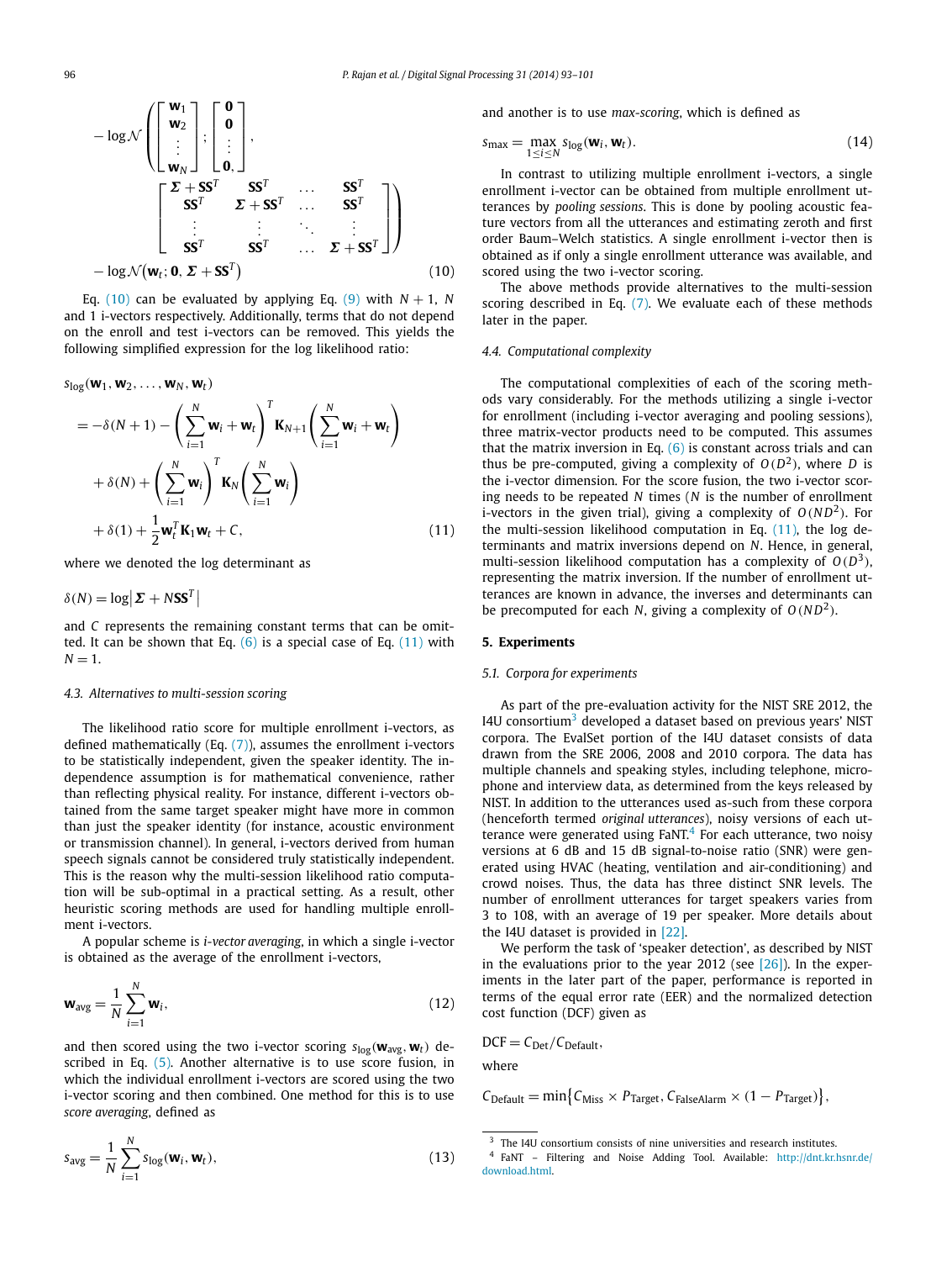<span id="page-3-0"></span>
$$
-\log \mathcal{N}\left(\begin{bmatrix} \mathbf{w}_1 \\ \mathbf{w}_2 \\ \vdots \\ \mathbf{w}_N \end{bmatrix}; \begin{bmatrix} \mathbf{0} \\ \mathbf{0} \\ \vdots \\ \mathbf{0} \end{bmatrix}, \begin{bmatrix} \mathbf{S}^T \\ \mathbf{S}^T \end{bmatrix}, \begin{bmatrix} \mathbf{S}^T \\ \mathbf{S}^T \end{bmatrix}, \begin{bmatrix} \mathbf{S}^T \\ \mathbf{S}^T \end{bmatrix}, \begin{bmatrix} \mathbf{S}^T \\ \mathbf{S}^T \end{bmatrix}, \begin{bmatrix} \mathbf{S}^T \\ \vdots \\ \mathbf{S}^T \end{bmatrix}, \begin{bmatrix} \mathbf{S}^T \\ \mathbf{S}^T \end{bmatrix}, \begin{bmatrix} \mathbf{S}^T \\ \mathbf{S}^T \end{bmatrix}, \begin{bmatrix} \mathbf{S}^T \\ \mathbf{S}^T \end{bmatrix}, \begin{bmatrix} \mathbf{S}^T \\ \mathbf{S}^T \end{bmatrix}, \begin{bmatrix} \mathbf{S}^T \\ \mathbf{S}^T \end{bmatrix}, \begin{bmatrix} \mathbf{S}^T \\ \mathbf{S}^T \end{bmatrix}, \begin{bmatrix} \mathbf{S}^T \\ \mathbf{S}^T \end{bmatrix}, \begin{bmatrix} \mathbf{S}^T \\ \mathbf{S}^T \end{bmatrix}, \begin{bmatrix} \mathbf{S}^T \\ \mathbf{S}^T \end{bmatrix}, \begin{bmatrix} \mathbf{S}^T \\ \mathbf{S}^T \end{bmatrix}, \begin{bmatrix} \mathbf{S}^T \\ \mathbf{S}^T \end{bmatrix}, \begin{bmatrix} \mathbf{S}^T \\ \mathbf{S}^T \end{bmatrix}, \begin{bmatrix} \mathbf{S}^T \\ \mathbf{S}^T \end{bmatrix}, \begin{bmatrix} \mathbf{S}^T \\ \mathbf{S}^T \end{bmatrix}, \begin{bmatrix} \mathbf{S}^T \\ \mathbf{S}^T \end{bmatrix}, \begin{bmatrix} \mathbf{S}^T \\ \mathbf{S}^T \end{bmatrix}, \begin{bmatrix} \mathbf{S}^T \\ \mathbf{S}^T \end{bmatrix}, \begin{bmatrix} \mathbf{S}^T \\ \mathbf{S}^T \end{bmatrix}, \begin{b
$$

Eq. (10) can be evaluated by applying Eq. [\(9\)](#page-2-0) with  $N + 1$ , *N* and 1 i-vectors respectively. Additionally, terms that do not depend on the enroll and test i-vectors can be removed. This yields the following simplified expression for the log likelihood ratio:

 $s_{\log}(\mathbf{w}_1, \mathbf{w}_2, \ldots, \mathbf{w}_N, \mathbf{w}_t)$ 

$$
= -\delta(N+1) - \left(\sum_{i=1}^{N} \mathbf{w}_i + \mathbf{w}_t\right)^T \mathbf{K}_{N+1} \left(\sum_{i=1}^{N} \mathbf{w}_i + \mathbf{w}_t\right)
$$
  
+  $\delta(N) + \left(\sum_{i=1}^{N} \mathbf{w}_i\right)^T \mathbf{K}_N \left(\sum_{i=1}^{N} \mathbf{w}_i\right)$   
+  $\delta(1) + \frac{1}{2} \mathbf{w}_t^T \mathbf{K}_1 \mathbf{w}_t + C,$  (11)

where we denoted the log determinant as

 $\delta(N) = \log |\mathbf{\Sigma} + N\mathbf{S}\mathbf{S}^T|$ 

and *C* represents the remaining constant terms that can be omitted. It can be shown that Eq.  $(6)$  is a special case of Eq.  $(11)$  with  $N = 1$ .

### *4.3. Alternatives to multi-session scoring*

The likelihood ratio score for multiple enrollment i-vectors, as defined mathematically (Eq.  $(7)$ ), assumes the enrollment i-vectors to be statistically independent, given the speaker identity. The independence assumption is for mathematical convenience, rather than reflecting physical reality. For instance, different i-vectors obtained from the same target speaker might have more in common than just the speaker identity (for instance, acoustic environment or transmission channel). In general, i-vectors derived from human speech signals cannot be considered truly statistically independent. This is the reason why the multi-session likelihood ratio computation will be sub-optimal in a practical setting. As a result, other heuristic scoring methods are used for handling multiple enrollment i-vectors.

A popular scheme is *i-vector averaging*, in which a single i-vector is obtained as the average of the enrollment i-vectors,

$$
\mathbf{w}_{\text{avg}} = \frac{1}{N} \sum_{i=1}^{N} \mathbf{w}_i,
$$
\n(12)

and then scored using the two i-vector scoring *s*log*(***w**avg*,* **w***t)* de-scribed in Eq. [\(5\).](#page-2-0) Another alternative is to use score fusion, in which the individual enrollment i-vectors are scored using the two i-vector scoring and then combined. One method for this is to use *score averaging*, defined as

$$
s_{\text{avg}} = \frac{1}{N} \sum_{i=1}^{N} s_{\text{log}}(\mathbf{w}_i, \mathbf{w}_t),
$$
\n(13)

and another is to use *max-scoring*, which is defined as

$$
s_{\max} = \max_{1 \le i \le N} s_{\log}(\mathbf{w}_i, \mathbf{w}_t). \tag{14}
$$

In contrast to utilizing multiple enrollment i-vectors, a single enrollment i-vector can be obtained from multiple enrollment utterances by *pooling sessions*. This is done by pooling acoustic feature vectors from all the utterances and estimating zeroth and first order Baum–Welch statistics. A single enrollment i-vector then is obtained as if only a single enrollment utterance was available, and scored using the two i-vector scoring.

The above methods provide alternatives to the multi-session scoring described in Eq. [\(7\).](#page-2-0) We evaluate each of these methods later in the paper.

#### *4.4. Computational complexity*

The computational complexities of each of the scoring methods vary considerably. For the methods utilizing a single i-vector for enrollment (including i-vector averaging and pooling sessions), three matrix-vector products need to be computed. This assumes that the matrix inversion in Eq.  $(6)$  is constant across trials and can thus be pre-computed, giving a complexity of  $O(D^2)$ , where *D* is the i-vector dimension. For the score fusion, the two i-vector scoring needs to be repeated *N* times (*N* is the number of enrollment i-vectors in the given trial), giving a complexity of  $O(ND^2)$ . For the multi-session likelihood computation in Eq. (11), the log determinants and matrix inversions depend on *N*. Hence, in general, multi-session likelihood computation has a complexity of  $O(D^3)$ , representing the matrix inversion. If the number of enrollment utterances are known in advance, the inverses and determinants can be precomputed for each *N*, giving a complexity of  $O(ND^2)$ .

### **5. Experiments**

#### *5.1. Corpora for experiments*

As part of the pre-evaluation activity for the NIST SRE 2012, the I4U consortium $3$  developed a dataset based on previous years' NIST corpora. The EvalSet portion of the I4U dataset consists of data drawn from the SRE 2006, 2008 and 2010 corpora. The data has multiple channels and speaking styles, including telephone, microphone and interview data, as determined from the keys released by NIST. In addition to the utterances used as-such from these corpora (henceforth termed *original utterances*), noisy versions of each utterance were generated using FaNT. $4$  For each utterance, two noisy versions at 6 dB and 15 dB signal-to-noise ratio (SNR) were generated using HVAC (heating, ventilation and air-conditioning) and crowd noises. Thus, the data has three distinct SNR levels. The number of enrollment utterances for target speakers varies from 3 to 108, with an average of 19 per speaker. More details about the I4U dataset is provided in [\[22\].](#page-8-0)

We perform the task of 'speaker detection', as described by NIST in the evaluations prior to the year 2012 (see  $[26]$ ). In the experiments in the later part of the paper, performance is reported in terms of the equal error rate (EER) and the normalized detection cost function (DCF) given as

 $DCF = C<sub>Det</sub>/C<sub>Default</sub>$ 

where

 $C_{\text{Default}} = \min \{ C_{\text{Miss}} \times P_{\text{Target}}, C_{\text{False} \text{ Alarm}} \times (1 - P_{\text{Target}}) \},$ 

 $3$  The I4U consortium consists of nine universities and research institutes.

<sup>4</sup> FaNT – Filtering and Noise Adding Tool. Available: [http://dnt.kr.hsnr.de/](http://dnt.kr.hsnr.de/download.html) [download.html](http://dnt.kr.hsnr.de/download.html).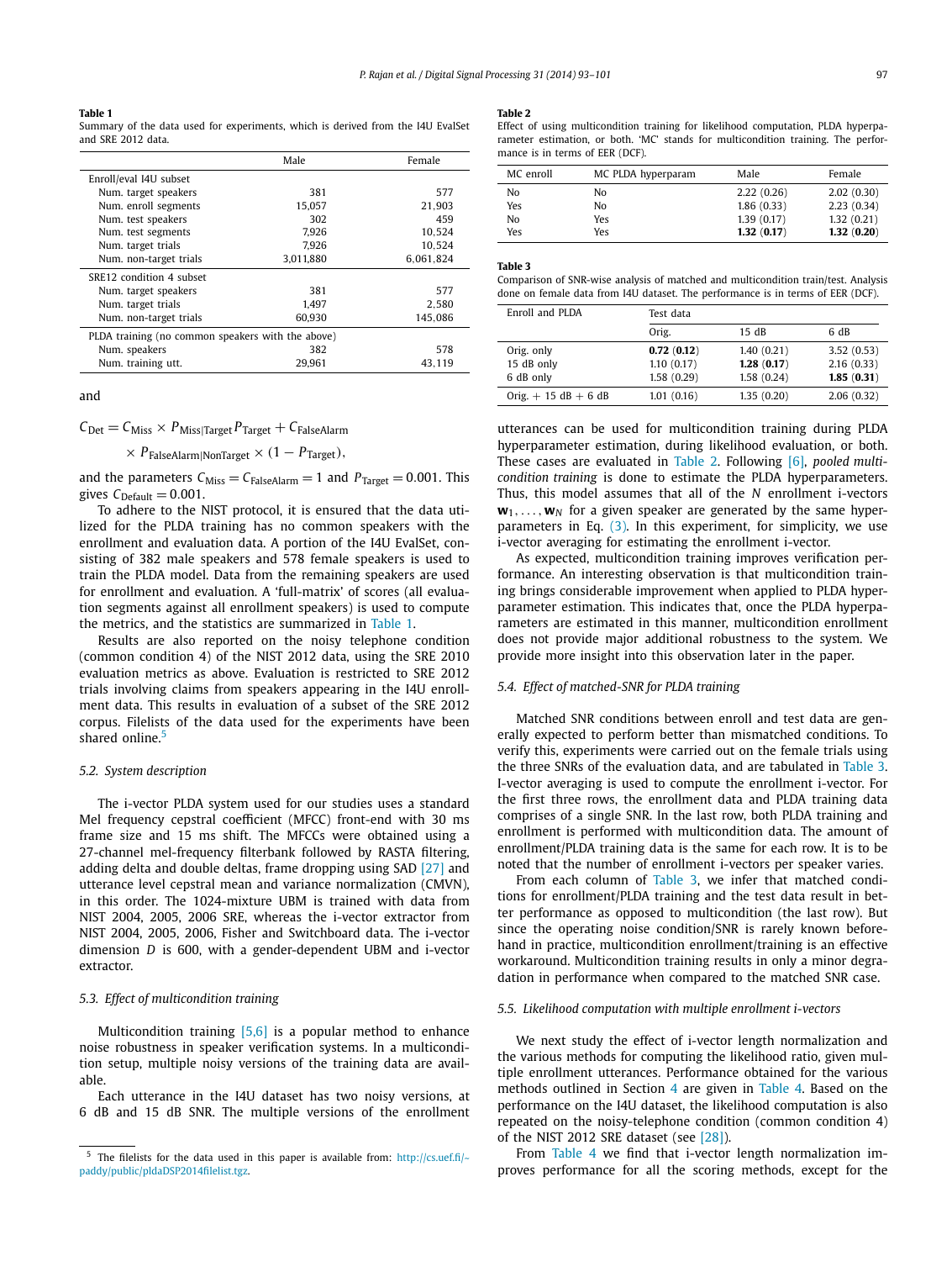#### <span id="page-4-0"></span>**Table 1**

Summary of the data used for experiments, which is derived from the I4U EvalSet and SRE 2012 data.

|                                                   | Male      | Female    |
|---------------------------------------------------|-----------|-----------|
| Enroll/eval I4U subset                            |           |           |
| Num, target speakers                              | 381       | 577       |
| Num, enroll segments                              | 15.057    | 21.903    |
| Num, test speakers                                | 302       | 459       |
| Num, test segments                                | 7.926     | 10.524    |
| Num. target trials                                | 7.926     | 10,524    |
| Num, non-target trials                            | 3,011,880 | 6,061,824 |
| SRE12 condition 4 subset                          |           |           |
| Num, target speakers                              | 381       | 577       |
| Num, target trials                                | 1.497     | 2,580     |
| Num, non-target trials                            | 60.930    | 145.086   |
| PLDA training (no common speakers with the above) |           |           |
| Num. speakers                                     | 382       | 578       |
| Num, training utt.                                | 29.961    | 43,119    |

and

 $C_{\text{Det}} = C_{\text{Miss}} \times P_{\text{Miss/Target}} P_{\text{Target}} + C_{\text{False} \text{Adam}}$ 

 $\times$  *P*<sub>FalseAlarm|NonTarget  $\times$  (1 – *P*<sub>Target</sub>),</sub>

and the parameters  $C_{\text{Miss}} = C_{\text{Falseuarm}} = 1$  and  $P_{\text{Target}} = 0.001$ . This gives  $C_{\text{Default}} = 0.001$ .

To adhere to the NIST protocol, it is ensured that the data utilized for the PLDA training has no common speakers with the enrollment and evaluation data. A portion of the I4U EvalSet, consisting of 382 male speakers and 578 female speakers is used to train the PLDA model. Data from the remaining speakers are used for enrollment and evaluation. A 'full-matrix' of scores (all evaluation segments against all enrollment speakers) is used to compute the metrics, and the statistics are summarized in Table 1.

Results are also reported on the noisy telephone condition (common condition 4) of the NIST 2012 data, using the SRE 2010 evaluation metrics as above. Evaluation is restricted to SRE 2012 trials involving claims from speakers appearing in the I4U enrollment data. This results in evaluation of a subset of the SRE 2012 corpus. Filelists of the data used for the experiments have been shared online.<sup>5</sup>

#### *5.2. System description*

The i-vector PLDA system used for our studies uses a standard Mel frequency cepstral coefficient (MFCC) front-end with 30 ms frame size and 15 ms shift. The MFCCs were obtained using a 27-channel mel-frequency filterbank followed by RASTA filtering, adding delta and double deltas, frame dropping using SAD [\[27\]](#page-8-0) and utterance level cepstral mean and variance normalization (CMVN), in this order. The 1024-mixture UBM is trained with data from NIST 2004, 2005, 2006 SRE, whereas the i-vector extractor from NIST 2004, 2005, 2006, Fisher and Switchboard data. The i-vector dimension *D* is 600, with a gender-dependent UBM and i-vector extractor.

#### *5.3. Effect of multicondition training*

Multicondition training [\[5,6\]](#page-7-0) is a popular method to enhance noise robustness in speaker verification systems. In a multicondition setup, multiple noisy versions of the training data are available.

Each utterance in the I4U dataset has two noisy versions, at 6 dB and 15 dB SNR. The multiple versions of the enrollment

#### **Table 2**

| MC enroll | MC PLDA hyperparam | Male       | Female     |
|-----------|--------------------|------------|------------|
| No        | No                 | 2.22(0.26) | 2.02(0.30) |
| Yes       | No                 | 1.86(0.33) | 2.23(0.34) |
| No        | Yes                | 1.39(0.17) | 1.32(0.21) |
| Yes       | Yes                | 1.32(0.17) | 1.32(0.20) |

**Table 3**

Comparison of SNR-wise analysis of matched and multicondition train/test. Analysis done on female data from I4U dataset. The performance is in terms of EER (DCF).

| Enroll and PLDA         | Test data                |                          |                          |
|-------------------------|--------------------------|--------------------------|--------------------------|
|                         | Orig.                    | 15dB                     | 6 dB                     |
| Orig. only              | 0.72(0.12)               | 1.40(0.21)               | 3.52(0.53)               |
| 15 dB only<br>6 dB only | 1.10(0.17)<br>1.58(0.29) | 1.28(0.17)<br>1.58(0.24) | 2.16(0.33)<br>1.85(0.31) |
| Orig. $+ 15 dB + 6 dB$  | 1.01(0.16)               | 1.35(0.20)               | 2.06(0.32)               |

utterances can be used for multicondition training during PLDA hyperparameter estimation, during likelihood evaluation, or both. These cases are evaluated in Table 2. Following [\[6\],](#page-7-0) *pooled multicondition training* is done to estimate the PLDA hyperparameters. Thus, this model assumes that all of the *N* enrollment i-vectors  $w_1, \ldots, w_N$  for a given speaker are generated by the same hyperparameters in Eq.  $(3)$ . In this experiment, for simplicity, we use i-vector averaging for estimating the enrollment i-vector.

As expected, multicondition training improves verification performance. An interesting observation is that multicondition training brings considerable improvement when applied to PLDA hyperparameter estimation. This indicates that, once the PLDA hyperparameters are estimated in this manner, multicondition enrollment does not provide major additional robustness to the system. We provide more insight into this observation later in the paper.

### *5.4. Effect of matched-SNR for PLDA training*

Matched SNR conditions between enroll and test data are generally expected to perform better than mismatched conditions. To verify this, experiments were carried out on the female trials using the three SNRs of the evaluation data, and are tabulated in Table 3. I-vector averaging is used to compute the enrollment i-vector. For the first three rows, the enrollment data and PLDA training data comprises of a single SNR. In the last row, both PLDA training and enrollment is performed with multicondition data. The amount of enrollment/PLDA training data is the same for each row. It is to be noted that the number of enrollment i-vectors per speaker varies.

From each column of Table 3, we infer that matched conditions for enrollment/PLDA training and the test data result in better performance as opposed to multicondition (the last row). But since the operating noise condition/SNR is rarely known beforehand in practice, multicondition enrollment/training is an effective workaround. Multicondition training results in only a minor degradation in performance when compared to the matched SNR case.

# *5.5. Likelihood computation with multiple enrollment i-vectors*

We next study the effect of i-vector length normalization and the various methods for computing the likelihood ratio, given multiple enrollment utterances. Performance obtained for the various methods outlined in Section [4](#page-2-0) are given in [Table 4.](#page-5-0) Based on the performance on the I4U dataset, the likelihood computation is also repeated on the noisy-telephone condition (common condition 4) of the NIST 2012 SRE dataset (see [\[28\]\)](#page-8-0).

From [Table 4](#page-5-0) we find that i-vector length normalization improves performance for all the scoring methods, except for the

The filelists for the data used in this paper is available from: [http://cs.uef.fi/~](http://cs.uef.fi/~paddy/public/pldaDSP2014filelist.tgz) [paddy/public/pldaDSP2014filelist.tgz.](http://cs.uef.fi/~paddy/public/pldaDSP2014filelist.tgz)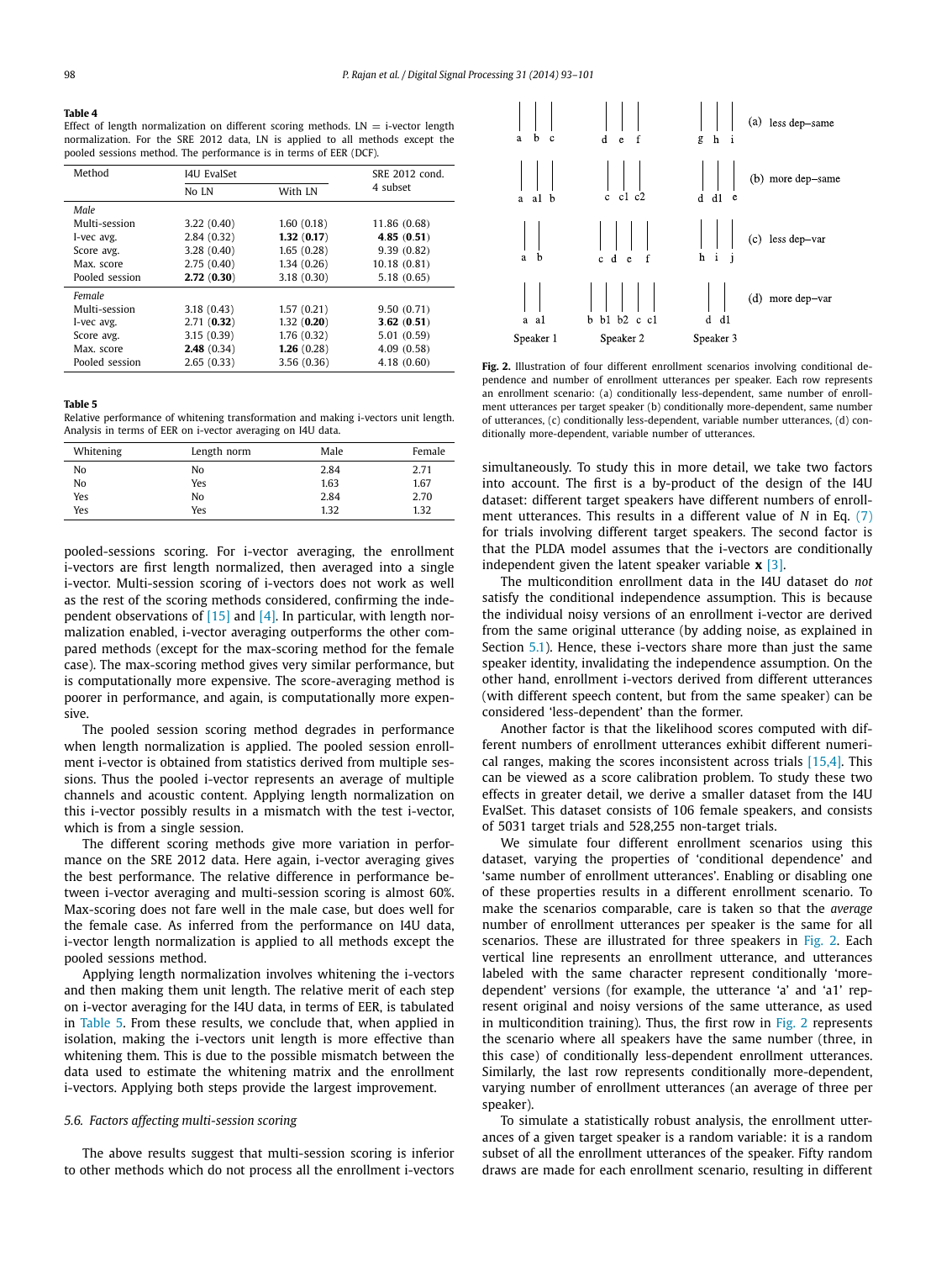#### <span id="page-5-0"></span>**Table 4**

Effect of length normalization on different scoring methods. LN  $=$  i-vector length normalization. For the SRE 2012 data, LN is applied to all methods except the pooled sessions method. The performance is in terms of EER (DCF).

| Method         | <b>I4U EvalSet</b> |             |              |  |
|----------------|--------------------|-------------|--------------|--|
|                | No LN              | With LN     | 4 subset     |  |
| Male           |                    |             |              |  |
| Multi-session  | 3.22(0.40)         | 1.60(0.18)  | 11.86 (0.68) |  |
| I-vec avg.     | 2.84(0.32)         | 1.32(0.17)  | 4.85(0.51)   |  |
| Score avg.     | 3.28(0.40)         | 1.65(0.28)  | 9.39(0.82)   |  |
| Max. score     | 2.75(0.40)         | 1.34(0.26)  | 10.18(0.81)  |  |
| Pooled session | 2.72(0.30)         | 3.18(0.30)  | 5.18(0.65)   |  |
| Female         |                    |             |              |  |
| Multi-session  | 3.18(0.43)         | 1.57(0.21)  | 9.50(0.71)   |  |
| I-vec avg.     | 2.71(0.32)         | 1.32(0.20)  | 3.62(0.51)   |  |
| Score avg.     | 3.15(0.39)         | 1.76(0.32)  | 5.01(0.59)   |  |
| Max. score     | 2.48(0.34)         | 1.26(0.28)  | 4.09(0.58)   |  |
| Pooled session | 2.65(0.33)         | 3.56 (0.36) | 4.18(0.60)   |  |

#### **Table 5**

Relative performance of whitening transformation and making i-vectors unit length. Analysis in terms of EER on i-vector averaging on I4U data.

| Whitening | Length norm | Male | Female |
|-----------|-------------|------|--------|
| No        | No          | 2.84 | 2.71   |
| No        | Yes         | 1.63 | 1.67   |
| Yes       | No          | 2.84 | 2.70   |
| Yes       | Yes         | 1.32 | 1.32   |

pooled-sessions scoring. For i-vector averaging, the enrollment i-vectors are first length normalized, then averaged into a single i-vector. Multi-session scoring of i-vectors does not work as well as the rest of the scoring methods considered, confirming the independent observations of  $[15]$  and  $[4]$ . In particular, with length normalization enabled, i-vector averaging outperforms the other compared methods (except for the max-scoring method for the female case). The max-scoring method gives very similar performance, but is computationally more expensive. The score-averaging method is poorer in performance, and again, is computationally more expensive.

The pooled session scoring method degrades in performance when length normalization is applied. The pooled session enrollment i-vector is obtained from statistics derived from multiple sessions. Thus the pooled i-vector represents an average of multiple channels and acoustic content. Applying length normalization on this i-vector possibly results in a mismatch with the test i-vector, which is from a single session.

The different scoring methods give more variation in performance on the SRE 2012 data. Here again, i-vector averaging gives the best performance. The relative difference in performance between i-vector averaging and multi-session scoring is almost 60%. Max-scoring does not fare well in the male case, but does well for the female case. As inferred from the performance on I4U data, i-vector length normalization is applied to all methods except the pooled sessions method.

Applying length normalization involves whitening the i-vectors and then making them unit length. The relative merit of each step on i-vector averaging for the I4U data, in terms of EER, is tabulated in Table 5. From these results, we conclude that, when applied in isolation, making the i-vectors unit length is more effective than whitening them. This is due to the possible mismatch between the data used to estimate the whitening matrix and the enrollment i-vectors. Applying both steps provide the largest improvement.

# *5.6. Factors affecting multi-session scoring*

The above results suggest that multi-session scoring is inferior to other methods which do not process all the enrollment i-vectors



Fig. 2. Illustration of four different enrollment scenarios involving conditional dependence and number of enrollment utterances per speaker. Each row represents an enrollment scenario: (a) conditionally less-dependent, same number of enrollment utterances per target speaker (b) conditionally more-dependent, same number of utterances, (c) conditionally less-dependent, variable number utterances, (d) conditionally more-dependent, variable number of utterances.

simultaneously. To study this in more detail, we take two factors into account. The first is a by-product of the design of the I4U dataset: different target speakers have different numbers of enrollment utterances. This results in a different value of *N* in Eq. [\(7\)](#page-2-0) for trials involving different target speakers. The second factor is that the PLDA model assumes that the i-vectors are conditionally independent given the latent speaker variable **x** [\[3\].](#page-7-0)

The multicondition enrollment data in the I4U dataset do *not* satisfy the conditional independence assumption. This is because the individual noisy versions of an enrollment i-vector are derived from the same original utterance (by adding noise, as explained in Section [5.1\)](#page-3-0). Hence, these i-vectors share more than just the same speaker identity, invalidating the independence assumption. On the other hand, enrollment i-vectors derived from different utterances (with different speech content, but from the same speaker) can be considered 'less-dependent' than the former.

Another factor is that the likelihood scores computed with different numbers of enrollment utterances exhibit different numerical ranges, making the scores inconsistent across trials  $[15,4]$ . This can be viewed as a score calibration problem. To study these two effects in greater detail, we derive a smaller dataset from the I4U EvalSet. This dataset consists of 106 female speakers, and consists of 5031 target trials and 528,255 non-target trials.

We simulate four different enrollment scenarios using this dataset, varying the properties of 'conditional dependence' and 'same number of enrollment utterances'. Enabling or disabling one of these properties results in a different enrollment scenario. To make the scenarios comparable, care is taken so that the *average* number of enrollment utterances per speaker is the same for all scenarios. These are illustrated for three speakers in Fig. 2. Each vertical line represents an enrollment utterance, and utterances labeled with the same character represent conditionally 'moredependent' versions (for example, the utterance 'a' and 'a1' represent original and noisy versions of the same utterance, as used in multicondition training). Thus, the first row in Fig. 2 represents the scenario where all speakers have the same number (three, in this case) of conditionally less-dependent enrollment utterances. Similarly, the last row represents conditionally more-dependent, varying number of enrollment utterances (an average of three per speaker).

To simulate a statistically robust analysis, the enrollment utterances of a given target speaker is a random variable: it is a random subset of all the enrollment utterances of the speaker. Fifty random draws are made for each enrollment scenario, resulting in different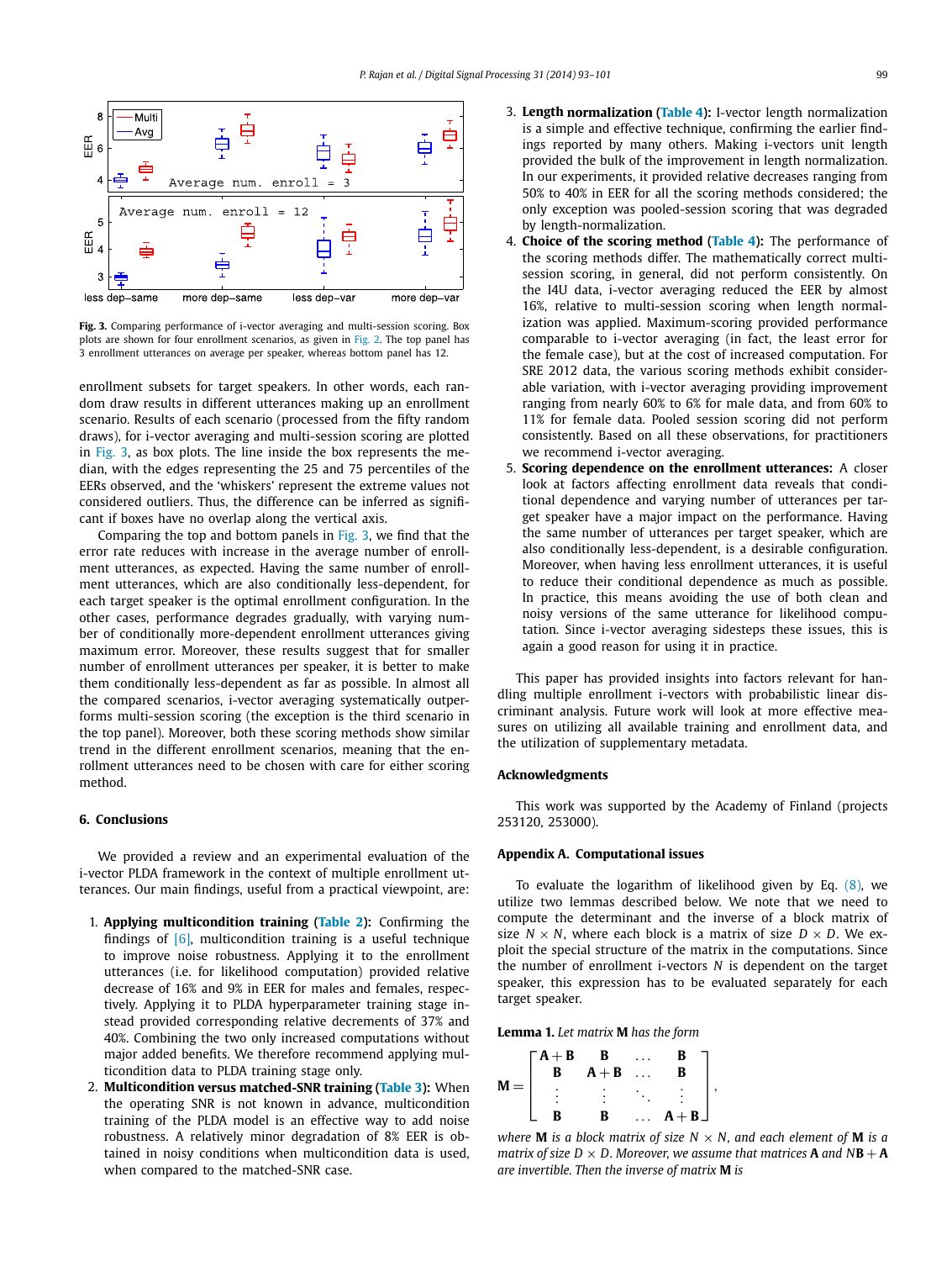<span id="page-6-0"></span>

**Fig. 3.** Comparing performance of i-vector averaging and multi-session scoring. Box plots are shown for four enrollment scenarios, as given in [Fig. 2.](#page-5-0) The top panel has 3 enrollment utterances on average per speaker, whereas bottom panel has 12.

enrollment subsets for target speakers. In other words, each random draw results in different utterances making up an enrollment scenario. Results of each scenario (processed from the fifty random draws), for i-vector averaging and multi-session scoring are plotted in Fig. 3, as box plots. The line inside the box represents the median, with the edges representing the 25 and 75 percentiles of the EERs observed, and the 'whiskers' represent the extreme values not considered outliers. Thus, the difference can be inferred as significant if boxes have no overlap along the vertical axis.

Comparing the top and bottom panels in Fig. 3, we find that the error rate reduces with increase in the average number of enrollment utterances, as expected. Having the same number of enrollment utterances, which are also conditionally less-dependent, for each target speaker is the optimal enrollment configuration. In the other cases, performance degrades gradually, with varying number of conditionally more-dependent enrollment utterances giving maximum error. Moreover, these results suggest that for smaller number of enrollment utterances per speaker, it is better to make them conditionally less-dependent as far as possible. In almost all the compared scenarios, i-vector averaging systematically outperforms multi-session scoring (the exception is the third scenario in the top panel). Moreover, both these scoring methods show similar trend in the different enrollment scenarios, meaning that the enrollment utterances need to be chosen with care for either scoring method.

# **6. Conclusions**

We provided a review and an experimental evaluation of the i-vector PLDA framework in the context of multiple enrollment utterances. Our main findings, useful from a practical viewpoint, are:

- 1. **Applying multicondition training [\(Table 2\)](#page-4-0):** Confirming the findings of [\[6\],](#page-7-0) multicondition training is a useful technique to improve noise robustness. Applying it to the enrollment utterances (i.e. for likelihood computation) provided relative decrease of 16% and 9% in EER for males and females, respectively. Applying it to PLDA hyperparameter training stage instead provided corresponding relative decrements of 37% and 40%. Combining the two only increased computations without major added benefits. We therefore recommend applying multicondition data to PLDA training stage only.
- 2. **Multicondition versus matched-SNR training [\(Table 3\)](#page-4-0):** When the operating SNR is not known in advance, multicondition training of the PLDA model is an effective way to add noise robustness. A relatively minor degradation of 8% EER is obtained in noisy conditions when multicondition data is used, when compared to the matched-SNR case.
- 3. **Length normalization [\(Table 4\)](#page-5-0):** I-vector length normalization is a simple and effective technique, confirming the earlier findings reported by many others. Making i-vectors unit length provided the bulk of the improvement in length normalization. In our experiments, it provided relative decreases ranging from 50% to 40% in EER for all the scoring methods considered; the only exception was pooled-session scoring that was degraded by length-normalization.
- 4. **Choice of the scoring method [\(Table 4\)](#page-5-0):** The performance of the scoring methods differ. The mathematically correct multisession scoring, in general, did not perform consistently. On the I4U data, i-vector averaging reduced the EER by almost 16%, relative to multi-session scoring when length normalization was applied. Maximum-scoring provided performance comparable to i-vector averaging (in fact, the least error for the female case), but at the cost of increased computation. For SRE 2012 data, the various scoring methods exhibit considerable variation, with i-vector averaging providing improvement ranging from nearly 60% to 6% for male data, and from 60% to 11% for female data. Pooled session scoring did not perform consistently. Based on all these observations, for practitioners we recommend i-vector averaging.
- 5. **Scoring dependence on the enrollment utterances:** A closer look at factors affecting enrollment data reveals that conditional dependence and varying number of utterances per target speaker have a major impact on the performance. Having the same number of utterances per target speaker, which are also conditionally less-dependent, is a desirable configuration. Moreover, when having less enrollment utterances, it is useful to reduce their conditional dependence as much as possible. In practice, this means avoiding the use of both clean and noisy versions of the same utterance for likelihood computation. Since i-vector averaging sidesteps these issues, this is again a good reason for using it in practice.

This paper has provided insights into factors relevant for handling multiple enrollment i-vectors with probabilistic linear discriminant analysis. Future work will look at more effective measures on utilizing all available training and enrollment data, and the utilization of supplementary metadata.

## **Acknowledgments**

This work was supported by the Academy of Finland (projects 253120, 253000).

# **Appendix A. Computational issues**

To evaluate the logarithm of likelihood given by Eq. [\(8\),](#page-2-0) we utilize two lemmas described below. We note that we need to compute the determinant and the inverse of a block matrix of size  $N \times N$ , where each block is a matrix of size  $D \times D$ . We exploit the special structure of the matrix in the computations. Since the number of enrollment i-vectors *N* is dependent on the target speaker, this expression has to be evaluated separately for each target speaker.

#### **Lemma 1.** *Let matrix* **M** *has the form*



*where* **M** *is a block matrix of size*  $N \times N$ *, and each element of* **M** *is a matrix of size D*  $\times$  *D. Moreover, we assume that matrices A and NB + A are invertible. Then the inverse of matrix* **M** *is*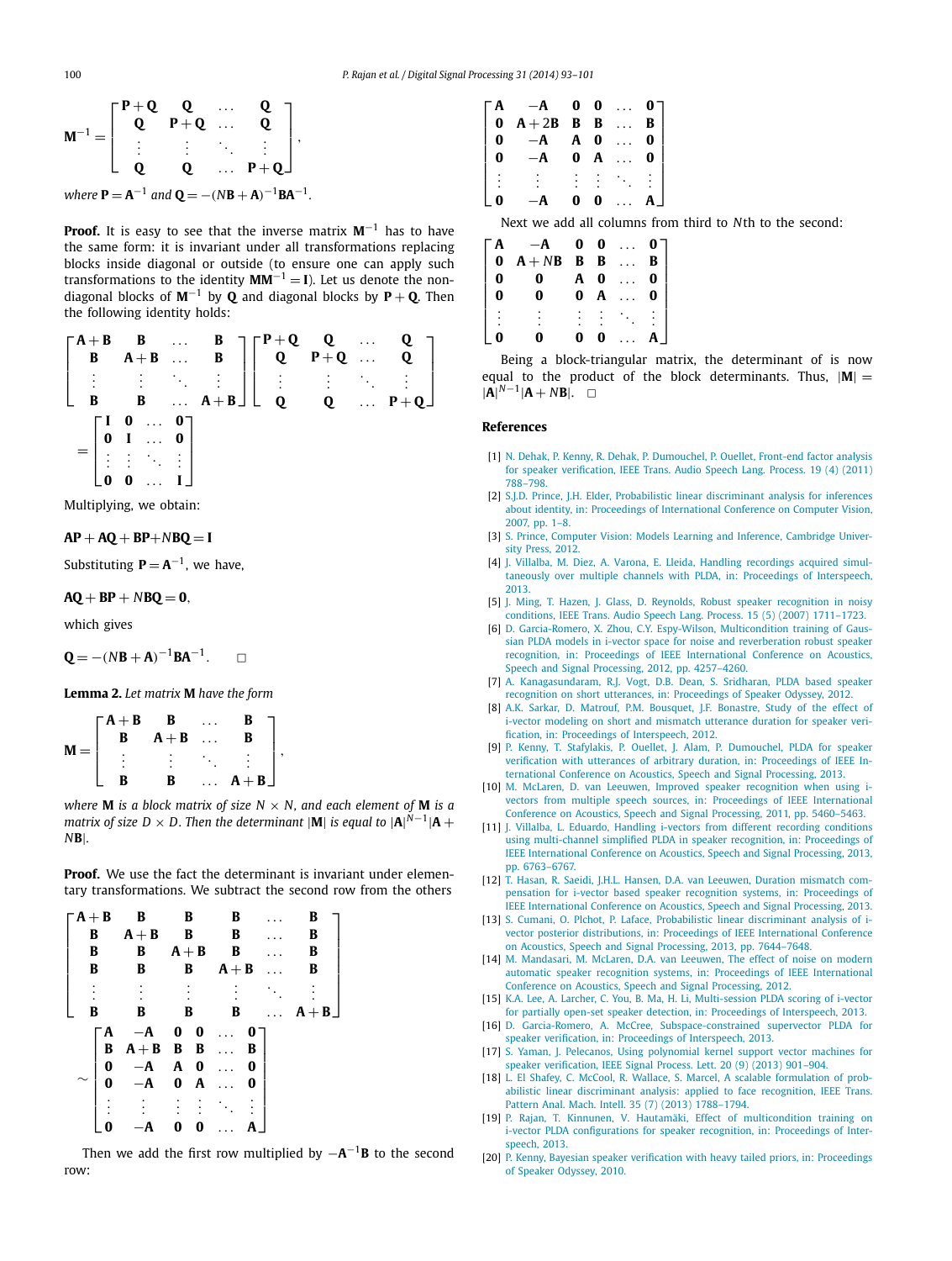<span id="page-7-0"></span>
$$
M^{-1} = \begin{bmatrix} P + Q & Q & \dots & Q \\ Q & P + Q & \dots & Q \\ \vdots & \vdots & \ddots & \vdots \\ Q & Q & \dots & P + Q \end{bmatrix},
$$

*where*  $P = A^{-1}$  *and*  $Q = -(NB + A)^{-1}BA^{-1}$ .

**Proof.** It is easy to see that the inverse matrix **M**−<sup>1</sup> has to have the same form: it is invariant under all transformations replacing blocks inside diagonal or outside (to ensure one can apply such transformations to the identity  $MM^{-1} = I$ ). Let us denote the nondiagonal blocks of **<sup>M</sup>**−<sup>1</sup> by **<sup>Q</sup>** and diagonal blocks by **<sup>P</sup>** + **<sup>Q</sup>**. Then the following identity holds:

$$
\begin{bmatrix}\nA+B & B & \dots & B \\
B & A+B & \dots & B \\
\vdots & \vdots & \ddots & \vdots \\
B & B & \dots & A+B\n\end{bmatrix}\n\begin{bmatrix}\nP+Q & Q & \dots & Q \\
Q & P+Q & \dots & Q \\
\vdots & \vdots & \ddots & \vdots \\
Q & Q & \dots & P+Q\n\end{bmatrix}
$$
\n
$$
=\n\begin{bmatrix}\nI & 0 & \dots & 0 \\
0 & I & \dots & 0 \\
\vdots & \vdots & \ddots & \vdots \\
0 & 0 & \dots & I\n\end{bmatrix}
$$

Multiplying, we obtain:

 $AP + AO + BP + NBO = I$ 

Substituting  $P = A^{-1}$ , we have,

 $AO + BP + NBO = 0$ ,

which gives

$$
\mathbf{Q} = -(N\mathbf{B} + \mathbf{A})^{-1} \mathbf{B} \mathbf{A}^{-1}.\qquad \Box
$$

**Lemma 2.** *Let matrix* **M** *have the form*

|   | $\Gamma A + B$ | B       |         |  |
|---|----------------|---------|---------|--|
|   | B              | $A + B$ |         |  |
| N |                |         |         |  |
|   |                |         |         |  |
|   | R              | R       | $A + B$ |  |

*where* **M** *is a block matrix of size*  $N \times N$ *, and each element of* **M** *is a matrix of size D*  $\times$  *D. Then the determinant*  $|\mathbf{M}|$  *is equal to*  $|\mathbf{A}|^{N-1}|\mathbf{A}$  + *N***B**|*.*

**Proof.** We use the fact the determinant is invariant under elementary transformations. We subtract the second row from the others

> ⎤  $\overline{\phantom{a}}$  $\overline{\phantom{a}}$  $\overline{\phantom{a}}$  $\overline{\phantom{a}}$  $\overline{\phantom{a}}$  $\overline{\phantom{a}}$  $\overline{\phantom{a}}$

| $A + B$ |   | В       | B            |   | B       |   | B       |
|---------|---|---------|--------------|---|---------|---|---------|
| в       |   | $A + B$ | В            |   | B       |   | B       |
| B       |   | B       | $A + B$      |   | B       |   | B       |
| B       |   | B       | B            |   | $A + B$ |   | B       |
|         |   |         |              |   |         |   |         |
| B       |   | В       | B            |   | В       |   | $A + B$ |
|         | A | -A      | 0            | 0 |         |   |         |
|         | B | $A + B$ | $\mathbf{B}$ | B |         | B |         |
|         | 0 | $-A$    | A            | 0 |         | 0 |         |
|         |   | $-A$    | 0            | A |         | 0 |         |
|         |   |         |              |   |         |   |         |
|         |   |         |              |   |         |   |         |
|         |   |         | 0            |   |         |   |         |

Then we add the first row multiplied by  $-A^{-1}B$  to the second row:

| $-A$      | $-A$         |   | $0\quad 0$ | $\cdots$                    | $\bf{0}$ |
|-----------|--------------|---|------------|-----------------------------|----------|
| $\bf{0}$  | $A + 2B$ B B |   |            |                             | B        |
| $\bullet$ | $-A$         |   | $A \t 0$   |                             | 0        |
| $\bf{0}$  | $-A$         | 0 | A          |                             | 0        |
|           |              |   |            | $\mathcal{L}_{\mathcal{L}}$ |          |
|           |              | 0 | 0          |                             |          |

Next we add all columns from third to *N*th to the second:

| $\mathbf{A}$ | $-A$     | $\mathbf{0}$ | $\bf{0}$                  | $\mathbf{0}$ |
|--------------|----------|--------------|---------------------------|--------------|
| $\bf{0}$     | $A + NB$ |              | $\mathbf{B}$ $\mathbf{B}$ | B            |
| $\bf{0}$     | 0        | $\mathbf{A}$ | $\bf{0}$                  | 0            |
| $\bf{0}$     | 0        | 0            | A                         | $\bf{0}$     |
|              |          |              |                           |              |
|              |          | 0            | $\bf{0}$                  |              |

Being a block-triangular matrix, the determinant of is now equal to the product of the block determinants. Thus,  $|\mathbf{M}| =$  $|{\bf A}|^{N-1}|{\bf A}+N{\bf B}|. \quad \Box$ 

#### **References**

- [1] [N. Dehak, P. Kenny, R. Dehak, P. Dumouchel, P. Ouellet, Front-end factor analysis](http://refhub.elsevier.com/S1051-2004(14)00137-7/bib646568616B69766563746F72s1) [for speaker verification, IEEE Trans. Audio Speech Lang. Process. 19 \(4\) \(2011\)](http://refhub.elsevier.com/S1051-2004(14)00137-7/bib646568616B69766563746F72s1) [788–798.](http://refhub.elsevier.com/S1051-2004(14)00137-7/bib646568616B69766563746F72s1)
- [2] S.J.D. [Prince, J.H. Elder, Probabilistic linear discriminant analysis for inferences](http://refhub.elsevier.com/S1051-2004(14)00137-7/bib7072696E6365706C6461s1) [about identity, in: Proceedings of International Conference on Computer Vision,](http://refhub.elsevier.com/S1051-2004(14)00137-7/bib7072696E6365706C6461s1) [2007, pp. 1–8.](http://refhub.elsevier.com/S1051-2004(14)00137-7/bib7072696E6365706C6461s1)
- [3] S. [Prince, Computer Vision: Models Learning and Inference, Cambridge Univer](http://refhub.elsevier.com/S1051-2004(14)00137-7/bib7072696E6365626F6F6Bs1)[sity Press, 2012.](http://refhub.elsevier.com/S1051-2004(14)00137-7/bib7072696E6365626F6F6Bs1)
- [4] J. [Villalba, M. Diez, A. Varona, E. Lleida, Handling recordings acquired simul](http://refhub.elsevier.com/S1051-2004(14)00137-7/bib76696C6C616C626168616E646C696E675265636F7264696E6773696E74657273706565636832303133s1)[taneously over multiple channels with PLDA, in: Proceedings of Interspeech,](http://refhub.elsevier.com/S1051-2004(14)00137-7/bib76696C6C616C626168616E646C696E675265636F7264696E6773696E74657273706565636832303133s1) [2013.](http://refhub.elsevier.com/S1051-2004(14)00137-7/bib76696C6C616C626168616E646C696E675265636F7264696E6773696E74657273706565636832303133s1)
- [5] J. [Ming, T. Hazen, J. Glass, D. Reynolds, Robust speaker recognition in noisy](http://refhub.elsevier.com/S1051-2004(14)00137-7/bib6D696E67726F6275737453706B4964s1) [conditions, IEEE Trans. Audio Speech Lang. Process. 15 \(5\) \(2007\) 1711–1723.](http://refhub.elsevier.com/S1051-2004(14)00137-7/bib6D696E67726F6275737453706B4964s1)
- [6] D. [Garcia-Romero, X. Zhou, C.Y. Espy-Wilson, Multicondition training of Gaus](http://refhub.elsevier.com/S1051-2004(14)00137-7/bib6761726369616D756C7469636F6E646Es1)[sian PLDA models in i-vector space for noise and reverberation robust speaker](http://refhub.elsevier.com/S1051-2004(14)00137-7/bib6761726369616D756C7469636F6E646Es1) [recognition, in: Proceedings of IEEE International Conference on Acoustics,](http://refhub.elsevier.com/S1051-2004(14)00137-7/bib6761726369616D756C7469636F6E646Es1) [Speech and Signal Processing, 2012, pp. 4257–4260.](http://refhub.elsevier.com/S1051-2004(14)00137-7/bib6761726369616D756C7469636F6E646Es1)
- [7] [A. Kanagasundaram, R.J. Vogt, D.B. Dean, S. Sridharan, PLDA based speaker](http://refhub.elsevier.com/S1051-2004(14)00137-7/bib6B616E616761504C444173686F7274557474s1) [recognition on short utterances, in: Proceedings of Speaker Odyssey, 2012.](http://refhub.elsevier.com/S1051-2004(14)00137-7/bib6B616E616761504C444173686F7274557474s1)
- [8] [A.K. Sarkar, D. Matrouf, P.M. Bousquet, J.F. Bonastre, Study of the effect of](http://refhub.elsevier.com/S1051-2004(14)00137-7/bib7361726B617273686F72744D69736D61746368s1) [i-vector modeling on short and mismatch utterance duration for speaker veri](http://refhub.elsevier.com/S1051-2004(14)00137-7/bib7361726B617273686F72744D69736D61746368s1)[fication, in: Proceedings of Interspeech, 2012.](http://refhub.elsevier.com/S1051-2004(14)00137-7/bib7361726B617273686F72744D69736D61746368s1)
- [9] [P. Kenny, T. Stafylakis, P. Ouellet, J. Alam, P. Dumouchel, PLDA for speaker](http://refhub.elsevier.com/S1051-2004(14)00137-7/bib6B656E6E7961726269746172794475726174696F6Es1) [verification with utterances of arbitrary duration, in: Proceedings of IEEE In](http://refhub.elsevier.com/S1051-2004(14)00137-7/bib6B656E6E7961726269746172794475726174696F6Es1)[ternational Conference on Acoustics, Speech and Signal Processing, 2013.](http://refhub.elsevier.com/S1051-2004(14)00137-7/bib6B656E6E7961726269746172794475726174696F6Es1)
- [10] M. [McLaren, D. van Leeuwen, Improved speaker recognition when using i](http://refhub.elsevier.com/S1051-2004(14)00137-7/bib6D636C6172656E6D756C7469706C65536F7572636573s1)[vectors from multiple speech sources, in: Proceedings of IEEE International](http://refhub.elsevier.com/S1051-2004(14)00137-7/bib6D636C6172656E6D756C7469706C65536F7572636573s1) [Conference on Acoustics, Speech and Signal Processing, 2011, pp. 5460–5463.](http://refhub.elsevier.com/S1051-2004(14)00137-7/bib6D636C6172656E6D756C7469706C65536F7572636573s1)
- [11] J. [Villalba, L. Eduardo, Handling i-vectors from different recording conditions](http://refhub.elsevier.com/S1051-2004(14)00137-7/bib76696C6C616C626173706C646132303133s1) [using multi-channel simplified PLDA in speaker recognition, in: Proceedings of](http://refhub.elsevier.com/S1051-2004(14)00137-7/bib76696C6C616C626173706C646132303133s1) [IEEE International Conference on Acoustics, Speech and Signal Processing, 2013,](http://refhub.elsevier.com/S1051-2004(14)00137-7/bib76696C6C616C626173706C646132303133s1) [pp. 6763–6767.](http://refhub.elsevier.com/S1051-2004(14)00137-7/bib76696C6C616C626173706C646132303133s1)
- [12] [T. Hasan, R. Saeidi, J.H.L. Hansen, D.A. van Leeuwen, Duration mismatch com](http://refhub.elsevier.com/S1051-2004(14)00137-7/bib686173616E6475726174696F6E4D69736D6174636832303133s1)[pensation for i-vector based speaker recognition systems, in: Proceedings of](http://refhub.elsevier.com/S1051-2004(14)00137-7/bib686173616E6475726174696F6E4D69736D6174636832303133s1) [IEEE International Conference on Acoustics, Speech and Signal Processing, 2013.](http://refhub.elsevier.com/S1051-2004(14)00137-7/bib686173616E6475726174696F6E4D69736D6174636832303133s1)
- [13] S. [Cumani, O. Plchot, P. Laface, Probabilistic linear discriminant analysis of i](http://refhub.elsevier.com/S1051-2004(14)00137-7/bib63756D616E6969766563746F72506F73746572696F7269636173737032303133s1)[vector posterior distributions, in: Proceedings of IEEE International Conference](http://refhub.elsevier.com/S1051-2004(14)00137-7/bib63756D616E6969766563746F72506F73746572696F7269636173737032303133s1) [on Acoustics, Speech and Signal Processing, 2013, pp. 7644–7648.](http://refhub.elsevier.com/S1051-2004(14)00137-7/bib63756D616E6969766563746F72506F73746572696F7269636173737032303133s1)
- [14] M. [Mandasari, M. McLaren, D.A. van Leeuwen, The effect of noise on modern](http://refhub.elsevier.com/S1051-2004(14)00137-7/bib6D616E6461736172696566666563744F664E6F697365s1) [automatic speaker recognition systems, in: Proceedings of IEEE International](http://refhub.elsevier.com/S1051-2004(14)00137-7/bib6D616E6461736172696566666563744F664E6F697365s1) [Conference on Acoustics, Speech and Signal Processing, 2012.](http://refhub.elsevier.com/S1051-2004(14)00137-7/bib6D616E6461736172696566666563744F664E6F697365s1)
- [15] [K.A. Lee, A. Larcher, C. You, B. Ma, H. Li, Multi-session PLDA scoring of i-vector](http://refhub.elsevier.com/S1051-2004(14)00137-7/bib6C65656D756C746953657373696F6E32303133s1) [for partially open-set speaker detection, in: Proceedings of Interspeech, 2013.](http://refhub.elsevier.com/S1051-2004(14)00137-7/bib6C65656D756C746953657373696F6E32303133s1)
- [16] D. [Garcia-Romero, A. McCree, Subspace-constrained supervector PLDA for](http://refhub.elsevier.com/S1051-2004(14)00137-7/bib676172636961526F6D65726F737562737061636532303133s1) [speaker verification, in: Proceedings of Interspeech, 2013.](http://refhub.elsevier.com/S1051-2004(14)00137-7/bib676172636961526F6D65726F737562737061636532303133s1)
- [17] S. [Yaman, J. Pelecanos, Using polynomial kernel support vector machines for](http://refhub.elsevier.com/S1051-2004(14)00137-7/bib79616D616E7573696E67506F6C796E6F6D69616C4B65726E656C53564D6965656573696750726F634C65747432303133s1) [speaker verification, IEEE Signal Process. Lett. 20 \(9\) \(2013\) 901–904.](http://refhub.elsevier.com/S1051-2004(14)00137-7/bib79616D616E7573696E67506F6C796E6F6D69616C4B65726E656C53564D6965656573696750726F634C65747432303133s1)
- [18] L. [El Shafey, C. McCool, R. Wallace, S. Marcel, A scalable formulation of prob](http://refhub.elsevier.com/S1051-2004(14)00137-7/bib656C7368616665797363616C61626C65504C44416965656570616D6932303133s1)[abilistic linear discriminant analysis: applied to face recognition, IEEE Trans.](http://refhub.elsevier.com/S1051-2004(14)00137-7/bib656C7368616665797363616C61626C65504C44416965656570616D6932303133s1) [Pattern Anal. Mach. Intell. 35 \(7\) \(2013\) 1788–1794.](http://refhub.elsevier.com/S1051-2004(14)00137-7/bib656C7368616665797363616C61626C65504C44416965656570616D6932303133s1)
- [19] [P. Rajan, T. Kinnunen, V. Hautamäki, Effect of multicondition training on](http://refhub.elsevier.com/S1051-2004(14)00137-7/bib7061646D616E706C6461696E74657273706565636832303133s1) [i-vector PLDA configurations for speaker recognition, in: Proceedings of Inter](http://refhub.elsevier.com/S1051-2004(14)00137-7/bib7061646D616E706C6461696E74657273706565636832303133s1)[speech, 2013.](http://refhub.elsevier.com/S1051-2004(14)00137-7/bib7061646D616E706C6461696E74657273706565636832303133s1)
- [20] [P. Kenny, Bayesian speaker verification with heavy tailed priors, in: Proceedings](http://refhub.elsevier.com/S1051-2004(14)00137-7/bib6B656E6E7968656176795461696C6564s1) [of Speaker Odyssey, 2010.](http://refhub.elsevier.com/S1051-2004(14)00137-7/bib6B656E6E7968656176795461696C6564s1)